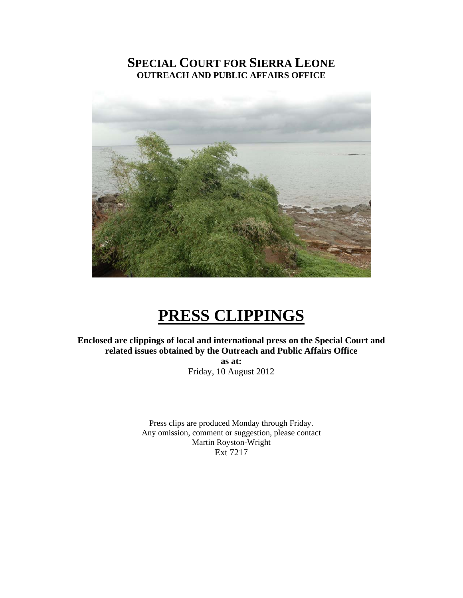#### **SPECIAL COURT FOR SIERRA LEONE OUTREACH AND PUBLIC AFFAIRS OFFICE**



### **PRESS CLIPPINGS**

**Enclosed are clippings of local and international press on the Special Court and related issues obtained by the Outreach and Public Affairs Office as at:** 

Friday, 10 August 2012

Press clips are produced Monday through Friday. Any omission, comment or suggestion, please contact Martin Royston-Wright Ext 7217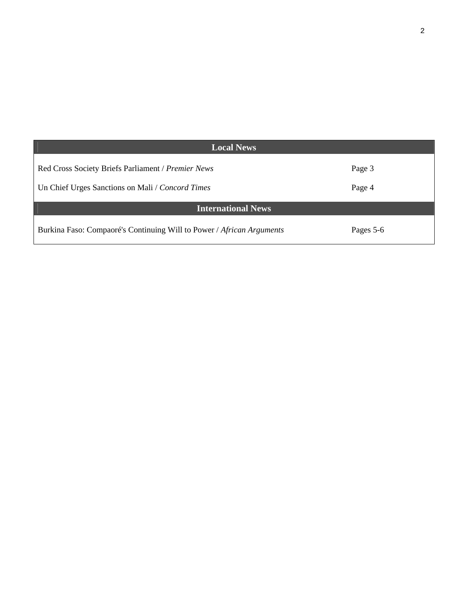| <b>Local News</b>                                                     |           |
|-----------------------------------------------------------------------|-----------|
| Red Cross Society Briefs Parliament / Premier News                    | Page 3    |
| Un Chief Urges Sanctions on Mali / Concord Times                      | Page 4    |
| <b>International News</b>                                             |           |
| Burkina Faso: Compaoré's Continuing Will to Power / African Arguments | Pages 5-6 |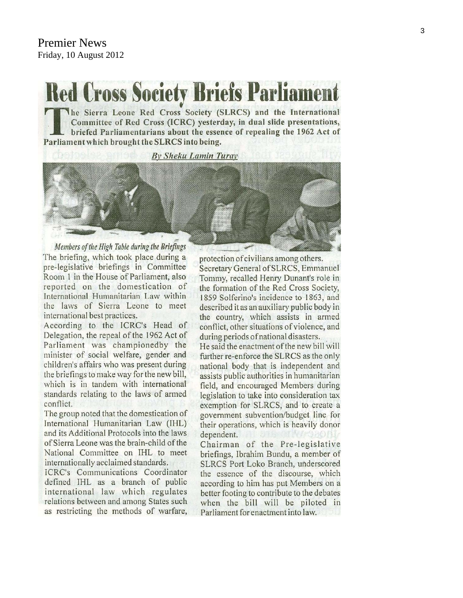# **Red Cross Society Briefs Parliamen**

The Sierra Leone Red Cross Society (SLRCS) and the International Committee of Red Cross (ICRC) yesterday, in dual slide presentations, briefed Parliamentarians about the essence of repealing the 1962 Act of Parliament which brought the SLRCS into being.

By Sheku Lamin Turay



Members of the High Table during the Briefings The briefing, which took place during a pre-legislative briefings in Committee Room 1 in the House of Parliament, also reported on the domestication of International Humanitarian Law within the laws of Sierra Leone to meet international best practices.

According to the ICRC's Head of Delegation, the repeal of the 1962 Act of Parliament was championedby the minister of social welfare, gender and children's affairs who was present during the briefings to make way for the new bill, which is in tandem with international standards relating to the laws of armed conflict.

The group noted that the domestication of International Humanitarian Law (IHL) and its Additional Protocols into the laws of Sierra Leone was the brain-child of the National Committee on IHL to meet internationally acclaimed standards.

ICRC's Communications Coordinator defined IHL as a branch of public international law which regulates relations between and among States such as restricting the methods of warfare,

protection of civilians among others. Secretary General of SLRCS, Emmanuel Tommy, recalled Henry Dunant's role in the formation of the Red Cross Society, 1859 Solferino's incidence to 1863, and described it as an auxiliary public body in the country, which assists in armed conflict, other situations of violence, and during periods of national disasters.

He said the enactment of the new bill will further re-enforce the SLRCS as the only national body that is independent and assists public authorities in humanitarian field, and encouraged Members during legislation to take into consideration tax exemption for SLRCS, and to create a government subvention/budget line for their operations, which is heavily donor dependent. Chairman of the Pre-legislative briefings, Ibrahim Bundu, a member of SLRCS Port Loko Branch, underscored the essence of the discourse, which according to him has put Members on a better footing to contribute to the debates when the bill will be piloted in Parliament for enactment into law.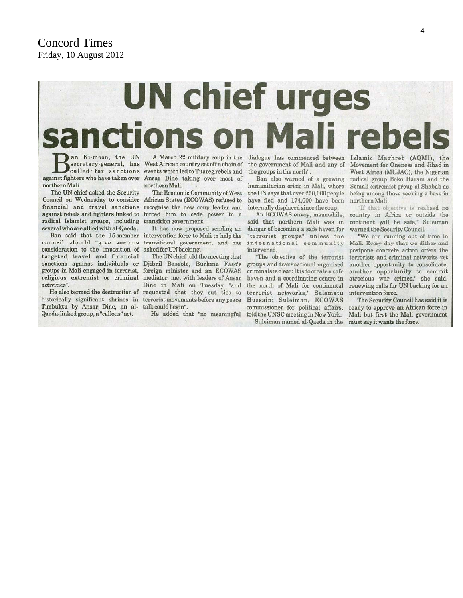#### **Concord Times** Friday, 10 August 2012

## **UN chief urges** li reb **Tions**

an Ki-moon, the UN against fighters who have taken over Ansar Dine taking over most of northern Mali.

The UN chief asked the Security Council on Wednesday to consider African States (ECOWAS) refused to financial and travel sanctions against rebels and fighters linked to forced him to cede power to a radical Islamist groups, including transition government. several who are allied with al-Qaeda.

Ban said that the 15-member council should "give serious transitional government, and has consideration to the imposition of asked for UN backing. targeted travel and financial sanctions against individuals or Djibril Bassole, Burkina Faso's groups in Mali engaged in terrorist, religious extremist or criminal activities".

historically significant shrines in terrorist movements before any peace Timbuktu by Ansar Dine, an al-Qaeda-linked group, a "callous" act.

A March 22 military coup in the secretary-general, has West African country set off a chain of called for sanctions events which led to Tuaregrebels and northern Mali.

> The Economic Community of West recognise the new coup leader and

> It has now proposed sending an intervention force to Mali to help the

The UN chief told the meeting that foreign minister and an ECOWAS mediator, met with leaders of Ansar Dine in Mali on Tuesday "and He also termed the destruction of requested that they cut ties to talk could begin".

He added that "no meaningful

the government of Mali and any of the groups in the north".

Ban also warned of a growing humanitarian crisis in Mali, where the UN says that over 250,000 people have fled and 174,000 have been internally displaced since the coup.

An ECOWAS envoy, meanwhile, said that northern Mali was in danger of becoming a safe haven for "terrorist groups" unless the international community intervened.

"The objective of the terrorist groups and transnational organised criminals is clear: It is to create a safe haven and a coordinating centre in the north of Mali for continental terrorist networks," Salamatu Hussaini Suleiman, ECOWAS commissioner for political affairs, told the UNSC meeting in New York.

Suleiman named al-Qaeda in the must say it wants the force.

dialogue has commenced between Islamic Maghreb (AQMI), the Movement for Oneness and Jihad in West Africa (MUJAO), the Nigerian radical group Boko Haram and the Somali extremist group al-Shabab as being among those seeking a base in northern Mali.

> "If that objective is realised no country in Africa or outside the continent will be safe," Suleiman warned the Security Council.

> "We are running out of time in Mali. Every day that we dither and postpone concrete action offers the terrorists and criminal networks yet another opportunity to consolidate, another opportunity to commit atrocious war crimes," she said, renewing calls for UN backing for an intervention force.

> The Security Council has said it is ready to approve an African force in Mali but first the Mali government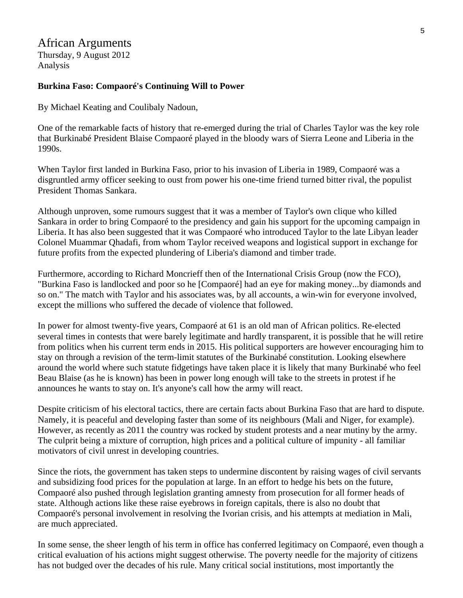#### African Arguments

Thursday, 9 August 2012 Analysis

#### **Burkina Faso: Compaoré's Continuing Will to Power**

By Michael Keating and Coulibaly Nadoun,

One of the remarkable facts of history that re-emerged during the trial of Charles Taylor was the key role that Burkinabé President Blaise Compaoré played in the bloody wars of Sierra Leone and Liberia in the 1990s.

When Taylor first landed in Burkina Faso, prior to his invasion of Liberia in 1989, Compaoré was a disgruntled army officer seeking to oust from power his one-time friend turned bitter rival, the populist President Thomas Sankara.

Although unproven, some rumours suggest that it was a member of Taylor's own clique who killed Sankara in order to bring Compaoré to the presidency and gain his support for the upcoming campaign in Liberia. It has also been suggested that it was Compaoré who introduced Taylor to the late Libyan leader Colonel Muammar Qhadafi, from whom Taylor received weapons and logistical support in exchange for future profits from the expected plundering of Liberia's diamond and timber trade.

Furthermore, according to Richard Moncrieff then of the International Crisis Group (now the FCO), "Burkina Faso is landlocked and poor so he [Compaoré] had an eye for making money...by diamonds and so on." The match with Taylor and his associates was, by all accounts, a win-win for everyone involved, except the millions who suffered the decade of violence that followed.

In power for almost twenty-five years, Compaoré at 61 is an old man of African politics. Re-elected several times in contests that were barely legitimate and hardly transparent, it is possible that he will retire from politics when his current term ends in 2015. His political supporters are however encouraging him to stay on through a revision of the term-limit statutes of the Burkinabé constitution. Looking elsewhere around the world where such statute fidgetings have taken place it is likely that many Burkinabé who feel Beau Blaise (as he is known) has been in power long enough will take to the streets in protest if he announces he wants to stay on. It's anyone's call how the army will react.

Despite criticism of his electoral tactics, there are certain facts about Burkina Faso that are hard to dispute. Namely, it is peaceful and developing faster than some of its neighbours (Mali and Niger, for example). However, as recently as 2011 the country was rocked by student protests and a near mutiny by the army. The culprit being a mixture of corruption, high prices and a political culture of impunity - all familiar motivators of civil unrest in developing countries.

Since the riots, the government has taken steps to undermine discontent by raising wages of civil servants and subsidizing food prices for the population at large. In an effort to hedge his bets on the future, Compaoré also pushed through legislation granting amnesty from prosecution for all former heads of state. Although actions like these raise eyebrows in foreign capitals, there is also no doubt that Compaoré's personal involvement in resolving the Ivorian crisis, and his attempts at mediation in Mali, are much appreciated.

In some sense, the sheer length of his term in office has conferred legitimacy on Compaoré, even though a critical evaluation of his actions might suggest otherwise. The poverty needle for the majority of citizens has not budged over the decades of his rule. Many critical social institutions, most importantly the